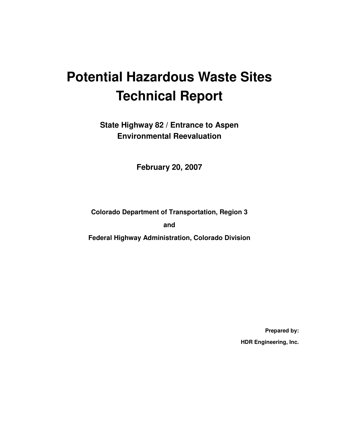# **Potential Hazardous Waste Sites Technical Report**

**State Highway 82 / Entrance to Aspen Environmental Reevaluation** 

**February 20, 2007** 

**Colorado Department of Transportation, Region 3** 

**and** 

**Federal Highway Administration, Colorado Division** 

**Prepared by: HDR Engineering, Inc.**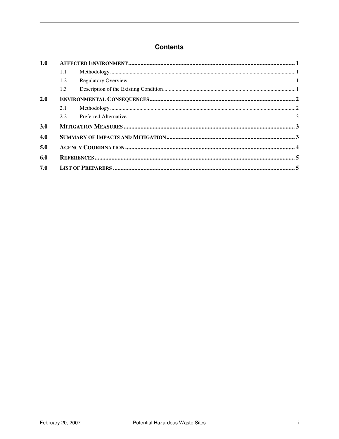#### **Contents**

| 1.0 |     |  |  |  |
|-----|-----|--|--|--|
|     | 1.1 |  |  |  |
|     | 1.2 |  |  |  |
|     | 1.3 |  |  |  |
| 2.0 |     |  |  |  |
|     | 2.1 |  |  |  |
|     | 2.2 |  |  |  |
| 3.0 |     |  |  |  |
| 4.0 |     |  |  |  |
| 5.0 |     |  |  |  |
| 6.0 |     |  |  |  |
| 7.0 |     |  |  |  |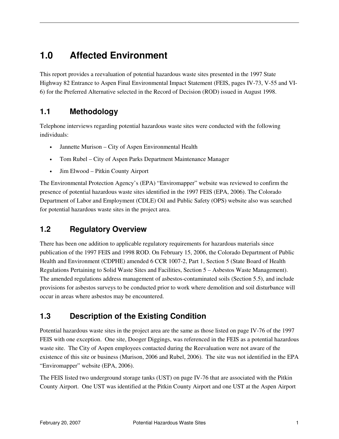# **1.0 Affected Environment**

This report provides a reevaluation of potential hazardous waste sites presented in the 1997 State Highway 82 Entrance to Aspen Final Environmental Impact Statement (FEIS, pages IV-73, V-55 and VI-6) for the Preferred Alternative selected in the Record of Decision (ROD) issued in August 1998.

## **1.1 Methodology**

Telephone interviews regarding potential hazardous waste sites were conducted with the following individuals:

- Jannette Murison City of Aspen Environmental Health
- Tom Rubel City of Aspen Parks Department Maintenance Manager
- Jim Elwood Pitkin County Airport

The Environmental Protection Agency's (EPA) "Enviromapper" website was reviewed to confirm the presence of potential hazardous waste sites identified in the 1997 FEIS (EPA, 2006). The Colorado Department of Labor and Employment (CDLE) Oil and Public Safety (OPS) website also was searched for potential hazardous waste sites in the project area.

## **1.2 Regulatory Overview**

There has been one addition to applicable regulatory requirements for hazardous materials since publication of the 1997 FEIS and 1998 ROD. On February 15, 2006, the Colorado Department of Public Health and Environment (CDPHE) amended 6 CCR 1007-2, Part 1, Section 5 (State Board of Health Regulations Pertaining to Solid Waste Sites and Facilities, Section 5 – Asbestos Waste Management). The amended regulations address management of asbestos-contaminated soils (Section 5.5), and include provisions for asbestos surveys to be conducted prior to work where demolition and soil disturbance will occur in areas where asbestos may be encountered.

## **1.3 Description of the Existing Condition**

Potential hazardous waste sites in the project area are the same as those listed on page IV-76 of the 1997 FEIS with one exception. One site, Dooger Diggings, was referenced in the FEIS as a potential hazardous waste site. The City of Aspen employees contacted during the Reevaluation were not aware of the existence of this site or business (Murison, 2006 and Rubel, 2006). The site was not identified in the EPA "Enviromapper" website (EPA, 2006).

The FEIS listed two underground storage tanks (UST) on page IV-76 that are associated with the Pitkin County Airport. One UST was identified at the Pitkin County Airport and one UST at the Aspen Airport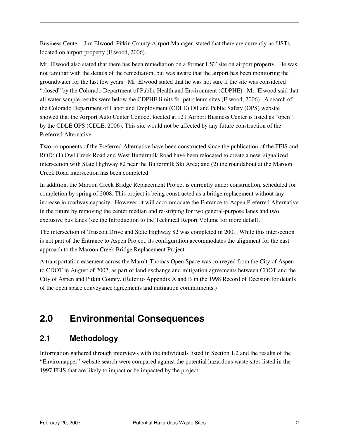Business Center. Jim Elwood, Pitkin County Airport Manager, stated that there are currently no USTs located on airport property (Elwood, 2006).

Mr. Elwood also stated that there has been remediation on a former UST site on airport property. He was not familiar with the details of the remediation, but was aware that the airport has been monitoring the groundwater for the last few years. Mr. Elwood stated that he was not sure if the site was considered "closed" by the Colorado Department of Public Health and Environment (CDPHE). Mr. Elwood said that all water sample results were below the CDPHE limits for petroleum sites (Elwood, 2006). A search of the Colorado Department of Labor and Employment (CDLE) Oil and Public Safety (OPS) website showed that the Airport Auto Center Conoco, located at 121 Airport Business Center is listed as "open" by the CDLE OPS (CDLE, 2006). This site would not be affected by any future construction of the Preferred Alternative.

Two components of the Preferred Alternative have been constructed since the publication of the FEIS and ROD: (1) Owl Creek Road and West Buttermilk Road have been relocated to create a new, signalized intersection with State Highway 82 near the Buttermilk Ski Area; and (2) the roundabout at the Maroon Creek Road intersection has been completed.

In addition, the Maroon Creek Bridge Replacement Project is currently under construction, scheduled for completion by spring of 2008. This project is being constructed as a bridge replacement without any increase in roadway capacity. However, it will accommodate the Entrance to Aspen Preferred Alternative in the future by removing the center median and re-striping for two general-purpose lanes and two exclusive bus lanes (see the Introduction to the Technical Report Volume for more detail).

The intersection of Truscott Drive and State Highway 82 was completed in 2001. While this intersection is not part of the Entrance to Aspen Project, its configuration accommodates the alignment for the east approach to the Maroon Creek Bridge Replacement Project.

A transportation easement across the Marolt-Thomas Open Space was conveyed from the City of Aspen to CDOT in August of 2002, as part of land exchange and mitigation agreements between CDOT and the City of Aspen and Pitkin County. (Refer to Appendix A and B in the 1998 Record of Decision for details of the open space conveyance agreements and mitigation commitments.)

# **2.0 Environmental Consequences**

## **2.1 Methodology**

Information gathered through interviews with the individuals listed in Section 1.2 and the results of the "Enviromapper" website search were compared against the potential hazardous waste sites listed in the 1997 FEIS that are likely to impact or be impacted by the project.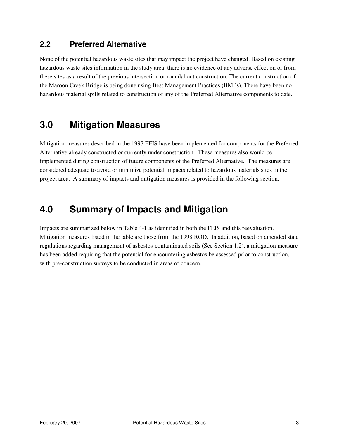### **2.2 Preferred Alternative**

None of the potential hazardous waste sites that may impact the project have changed. Based on existing hazardous waste sites information in the study area, there is no evidence of any adverse effect on or from these sites as a result of the previous intersection or roundabout construction. The current construction of the Maroon Creek Bridge is being done using Best Management Practices (BMPs). There have been no hazardous material spills related to construction of any of the Preferred Alternative components to date.

# **3.0 Mitigation Measures**

Mitigation measures described in the 1997 FEIS have been implemented for components for the Preferred Alternative already constructed or currently under construction. These measures also would be implemented during construction of future components of the Preferred Alternative. The measures are considered adequate to avoid or minimize potential impacts related to hazardous materials sites in the project area. A summary of impacts and mitigation measures is provided in the following section.

# **4.0 Summary of Impacts and Mitigation**

Impacts are summarized below in Table 4-1 as identified in both the FEIS and this reevaluation. Mitigation measures listed in the table are those from the 1998 ROD. In addition, based on amended state regulations regarding management of asbestos-contaminated soils (See Section 1.2), a mitigation measure has been added requiring that the potential for encountering asbestos be assessed prior to construction, with pre-construction surveys to be conducted in areas of concern.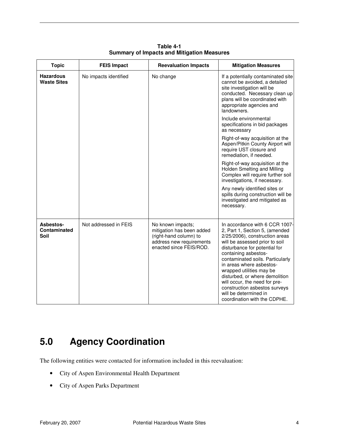| <b>Topic</b>                           | <b>FEIS Impact</b>    | <b>Reevaluation Impacts</b>                                                                                                     | <b>Mitigation Measures</b>                                                                                                                                                                                                                                                                                                                                                                                                                             |
|----------------------------------------|-----------------------|---------------------------------------------------------------------------------------------------------------------------------|--------------------------------------------------------------------------------------------------------------------------------------------------------------------------------------------------------------------------------------------------------------------------------------------------------------------------------------------------------------------------------------------------------------------------------------------------------|
| <b>Hazardous</b><br><b>Waste Sites</b> | No impacts identified | No change                                                                                                                       | If a potentially contaminated site<br>cannot be avoided, a detailed<br>site investigation will be<br>conducted. Necessary clean up<br>plans will be coordinated with<br>appropriate agencies and<br>landowners.                                                                                                                                                                                                                                        |
|                                        |                       |                                                                                                                                 | Include environmental<br>specifications in bid packages<br>as necessary                                                                                                                                                                                                                                                                                                                                                                                |
|                                        |                       |                                                                                                                                 | Right-of-way acquisition at the<br>Aspen/Pitkin County Airport will<br>require UST closure and<br>remediation, if needed.                                                                                                                                                                                                                                                                                                                              |
|                                        |                       |                                                                                                                                 | Right-of-way acquisition at the<br>Holden Smelting and Milling<br>Complex will require further soil<br>investigations, if necessary.                                                                                                                                                                                                                                                                                                                   |
|                                        |                       |                                                                                                                                 | Any newly identified sites or<br>spills during construction will be<br>investigated and mitigated as<br>necessary.                                                                                                                                                                                                                                                                                                                                     |
| Asbestos-<br>Contaminated<br>Soil      | Not addressed in FEIS | No known impacts;<br>mitigation has been added<br>(right-hand column) to<br>address new requirements<br>enacted since FEIS/ROD. | In accordance with 6 CCR 1007-<br>2, Part 1, Section 5, (amended<br>2/25/2006), construction areas<br>will be assessed prior to soil<br>disturbance for potential for<br>containing asbestos-<br>contaminated soils. Particularly<br>in areas where asbestos-<br>wrapped utilities may be<br>disturbed, or where demolition<br>will occur, the need for pre-<br>construction asbestos surveys<br>will be determined in<br>coordination with the CDPHE. |

**Table 4-1 Summary of Impacts and Mitigation Measures** 

# **5.0 Agency Coordination**

The following entities were contacted for information included in this reevaluation:

- City of Aspen Environmental Health Department
- City of Aspen Parks Department